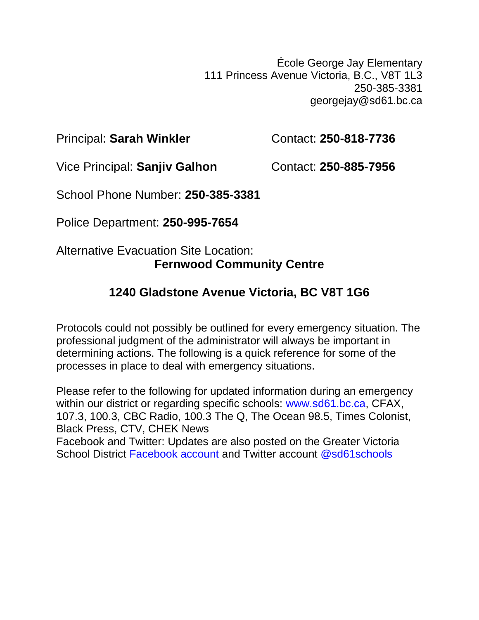École George Jay Elementary 111 Princess Avenue Victoria, B.C., V8T 1L3 250-385-3381 georgejay@sd61.bc.ca

Principal: Sarah Winkler **Contact: 250-818-7736** 

Vice Principal: **Sanjiv Galhon** Contact: 250-885-7956

School Phone Number: **250-385-3381**

Police Department: **250-995-7654**

## Alternative Evacuation Site Location: **Fernwood Community Centre**

# **1240 Gladstone Avenue Victoria, BC V8T 1G6**

Protocols could not possibly be outlined for every emergency situation. The professional judgment of the administrator will always be important in determining actions. The following is a quick reference for some of the processes in place to deal with emergency situations.

Please refer to the following for updated information during an emergency within our district or regarding specific schools: www.sd61.bc.ca, CFAX, 107.3, 100.3, CBC Radio, 100.3 The Q, The Ocean 98.5, Times Colonist, Black Press, CTV, CHEK News Facebook and Twitter: Updates are also posted on the Greater Victoria School District Facebook account and Twitter account @sd61schools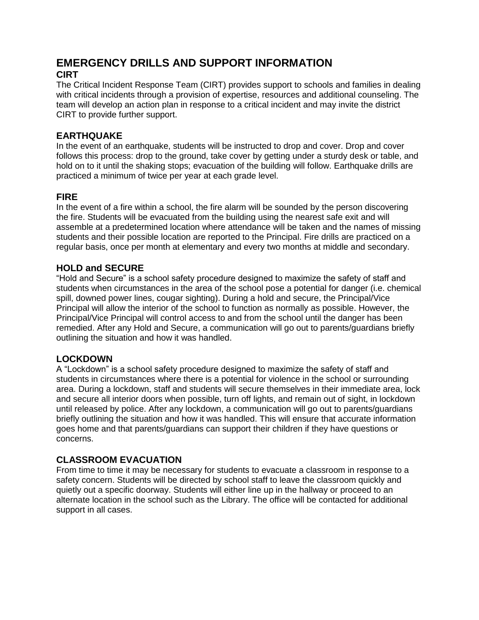#### **EMERGENCY DRILLS AND SUPPORT INFORMATION CIRT**

The Critical Incident Response Team (CIRT) provides support to schools and families in dealing with critical incidents through a provision of expertise, resources and additional counseling. The team will develop an action plan in response to a critical incident and may invite the district CIRT to provide further support.

#### **EARTHQUAKE**

In the event of an earthquake, students will be instructed to drop and cover. Drop and cover follows this process: drop to the ground, take cover by getting under a sturdy desk or table, and hold on to it until the shaking stops; evacuation of the building will follow. Earthquake drills are practiced a minimum of twice per year at each grade level.

#### **FIRE**

In the event of a fire within a school, the fire alarm will be sounded by the person discovering the fire. Students will be evacuated from the building using the nearest safe exit and will assemble at a predetermined location where attendance will be taken and the names of missing students and their possible location are reported to the Principal. Fire drills are practiced on a regular basis, once per month at elementary and every two months at middle and secondary.

#### **HOLD and SECURE**

"Hold and Secure" is a school safety procedure designed to maximize the safety of staff and students when circumstances in the area of the school pose a potential for danger (i.e. chemical spill, downed power lines, cougar sighting). During a hold and secure, the Principal/Vice Principal will allow the interior of the school to function as normally as possible. However, the Principal/Vice Principal will control access to and from the school until the danger has been remedied. After any Hold and Secure, a communication will go out to parents/guardians briefly outlining the situation and how it was handled.

#### **LOCKDOWN**

A "Lockdown" is a school safety procedure designed to maximize the safety of staff and students in circumstances where there is a potential for violence in the school or surrounding area. During a lockdown, staff and students will secure themselves in their immediate area, lock and secure all interior doors when possible, turn off lights, and remain out of sight, in lockdown until released by police. After any lockdown, a communication will go out to parents/guardians briefly outlining the situation and how it was handled. This will ensure that accurate information goes home and that parents/guardians can support their children if they have questions or concerns.

#### **CLASSROOM EVACUATION**

From time to time it may be necessary for students to evacuate a classroom in response to a safety concern. Students will be directed by school staff to leave the classroom quickly and quietly out a specific doorway. Students will either line up in the hallway or proceed to an alternate location in the school such as the Library. The office will be contacted for additional support in all cases.